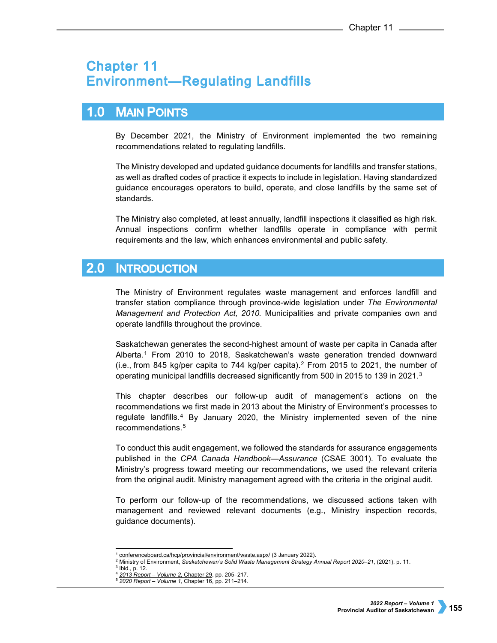# **Chapter 11 Environment-Regulating Landfills**

# $1.0$ **MAIN POINTS**

By December 2021, the Ministry of Environment implemented the two remaining recommendations related to regulating landfills.

The Ministry developed and updated guidance documents for landfills and transfer stations, as well as drafted codes of practice it expects to include in legislation. Having standardized guidance encourages operators to build, operate, and close landfills by the same set of standards.

The Ministry also completed, at least annually, landfill inspections it classified as high risk. Annual inspections confirm whether landfills operate in compliance with permit requirements and the law, which enhances environmental and public safety.

## $2.0$ **INTRODUCTION**

The Ministry of Environment regulates waste management and enforces landfill and transfer station compliance through province-wide legislation under *The Environmental Management and Protection Act, 2010.* Municipalities and private companies own and operate landfills throughout the province.

Saskatchewan generates the second-highest amount of waste per capita in Canada after Alberta.[1](#page-0-0) From 2010 to 2018, Saskatchewan's waste generation trended downward (i.e., from 845 kg/per capita to 744 kg/per capita).<sup>[2](#page-0-1)</sup> From 2015 to 2021, the number of operating municipal landfills decreased significantly from 500 in 2015 to 1[3](#page-0-2)9 in 2021.<sup>3</sup>

This chapter describes our follow-up audit of management's actions on the recommendations we first made in 2013 about the Ministry of Environment's processes to regulate landfills.[4](#page-0-3) By January 2020, the Ministry implemented seven of the nine recommendations.[5](#page-0-4)

To conduct this audit engagement, we followed the standards for assurance engagements published in the *CPA Canada Handbook—Assurance* (CSAE 3001). To evaluate the Ministry's progress toward meeting our recommendations, we used the relevant criteria from the original audit. Ministry management agreed with the criteria in the original audit.

To perform our follow-up of the recommendations, we discussed actions taken with management and reviewed relevant documents (e.g., Ministry inspection records, guidance documents).

<sup>-</sup><sup>1</sup> [conferenceboard.ca/hcp/provincial/environment/waste.aspx/](https://conferenceboard.ca/hcp/provincial/environment/waste.aspx/) (3 January 2022).

<span id="page-0-1"></span><span id="page-0-0"></span><sup>2</sup> Ministry of Environment, *Saskatchewan's Solid Waste Management Strategy Annual Report 2020–21*, (2021), p. 11.

<span id="page-0-4"></span><span id="page-0-3"></span><span id="page-0-2"></span><sup>3</sup> Ibid.*,* p. 12.

<sup>4</sup> *[2013 Report – Volume 2,](https://auditor.sk.ca/pub/publications/public_reports/2013/Volume_2/2013v2_29_EnvRegLandfills.pdf)* Chapter 29, pp. 205–217.

<sup>5</sup> *[2020 Report – Volume 1,](https://auditor.sk.ca/pub/publications/public_reports/2020/Volume_1/CH%2016%20-%20Environment%E2%80%94Regulating%20Landfills.pdf)* Chapter 16, pp. 211–214.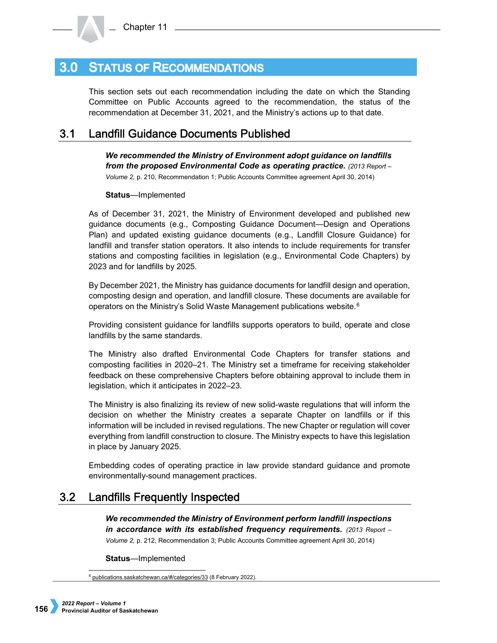#### **STATUS OF RECOMMENDATIONS**  $3.0<sub>1</sub>$

This section sets out each recommendation including the date on which the Standing Committee on Public Accounts agreed to the recommendation, the status of the recommendation at December 31, 2021, and the Ministry's actions up to that date.

#### $3.1$ **Landfill Guidance Documents Published**

*We recommended the Ministry of Environment adopt guidance on landfills from the proposed Environmental Code as operating practice. (2013 Report – Volume 2,* p. 210, Recommendation 1; Public Accounts Committee agreement April 30, 2014)

**Status**—Implemented

As of December 31, 2021, the Ministry of Environment developed and published new guidance documents (e.g., Composting Guidance Document—Design and Operations Plan) and updated existing guidance documents (e.g., Landfill Closure Guidance) for landfill and transfer station operators. It also intends to include requirements for transfer stations and composting facilities in legislation (e.g., Environmental Code Chapters) by 2023 and for landfills by 2025.

By December 2021, the Ministry has guidance documents for landfill design and operation, composting design and operation, and landfill closure. These documents are available for operators on the Ministry's Solid Waste Management publications website.<sup>[6](#page-1-0)</sup>

Providing consistent guidance for landfills supports operators to build, operate and close landfills by the same standards.

The Ministry also drafted Environmental Code Chapters for transfer stations and composting facilities in 2020–21. The Ministry set a timeframe for receiving stakeholder feedback on these comprehensive Chapters before obtaining approval to include them in legislation, which it anticipates in 2022–23.

The Ministry is also finalizing its review of new solid-waste regulations that will inform the decision on whether the Ministry creates a separate Chapter on landfills or if this information will be included in revised regulations. The new Chapter or regulation will cover everything from landfill construction to closure. The Ministry expects to have this legislation in place by January 2025.

Embedding codes of operating practice in law provide standard guidance and promote environmentally-sound management practices.

## $3.2<sub>2</sub>$ **Landfills Frequently Inspected**

*We recommended the Ministry of Environment perform landfill inspections in accordance with its established frequency requirements. (2013 Report – Volume 2,* p. 212, Recommendation 3; Public Accounts Committee agreement April 30, 2014)

**Status**—Implemented

<span id="page-1-0"></span>-<sup>6</sup> [publications.saskatchewan.ca/#/categories/33](https://publications.saskatchewan.ca/#/categories/33) (8 February 2022).